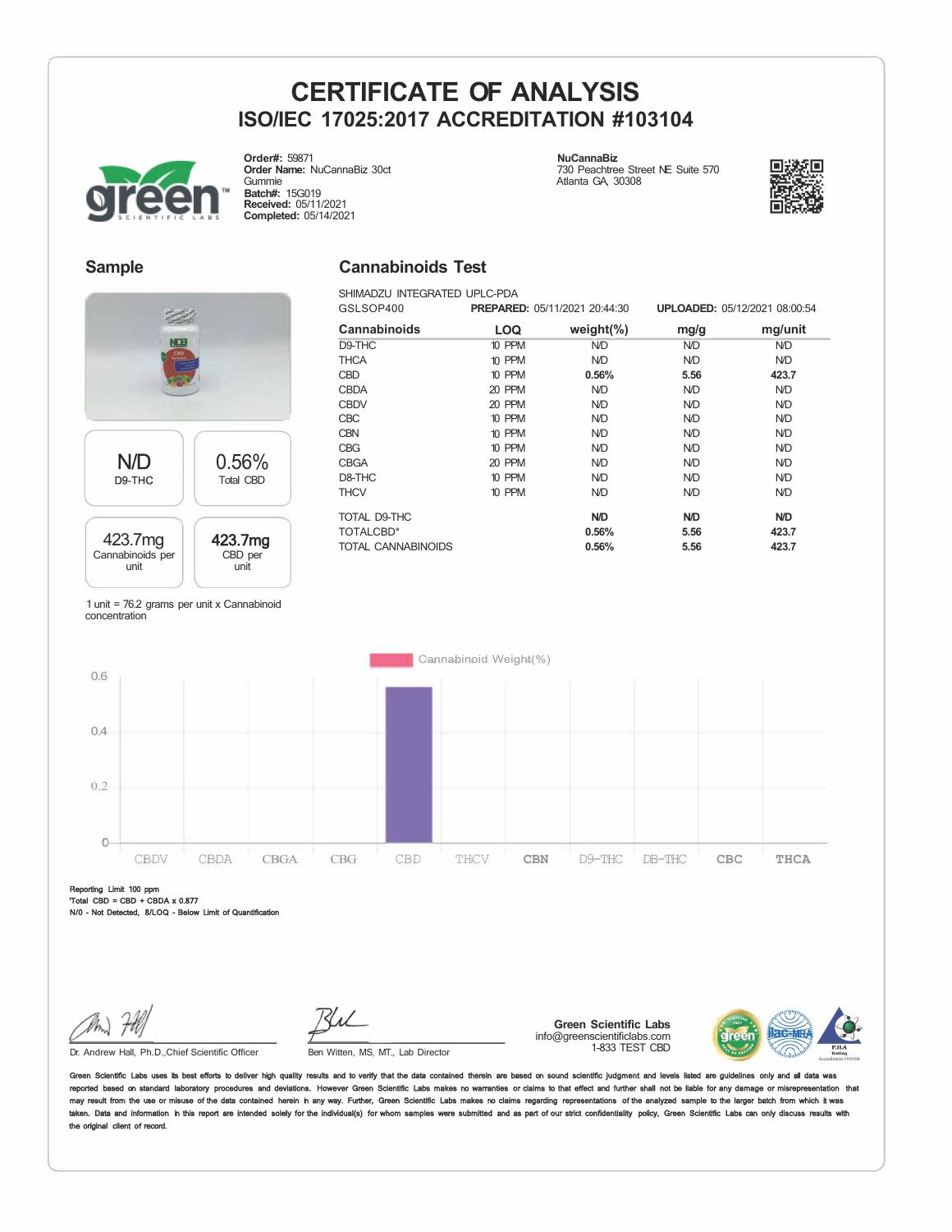**Cannabinoids Test**  SHIMADZU INTEGRATED UPLC-PDA



**Order#:** 59871 **Order Name:** NuCannaBiz 30ct Gummie **Batch#:** 15G019 **Received:** 05/11/2021 **Completed:** 05/14/2021

**NuCannaBiz**  730 Peachtree Street NE Suite 570 Atlanta GA, 30308



### **Sample**



#### GSLSOP400 **PREPARED:** 05/11/2021 20:44:30 **UPLOADED:** 05/12/2021 08:00:54 **Cannabinoids LOQ weight(%) mg/g**<br>D9-THC 10 PPM ND ND D9-THC 10 PPM N/D N/D THCA 10 PPM N/D N/D CBD 10 PPM **0.56% 5.56**  CBDA 20 PPM N/D N/D CBDV 20 PPM N/D N/D CBC 10 PPM N/D N/D CBN 10 PPM N/D N/D CBG 10 PPM N/D N/D CBGA 20 PPM N/D N/D D8-THC 10 PPM N/D N/D THCV 10 PPM N/D N/D TOTAL D9-THC **N/D N/D**  TOTALCBD\* **0.56% 5.56**  TOTAL CANNABINOIDS **0.56% 5.56 mg/unit**  N/D N/D **423.7**  N/D N/D N/D N/D N/D N/D N/D N/D **N/D 423.7 423.7**

1 unit = 76.2 grams per unit x Cannabinoid concentration



Reporting Limit 100 ppm 'Total CBD = CBD + CBDA x 0.877 N/0 - Not Detected, 8/LOQ - Below Limit of Quantificati

Dr. Andrew Hall, Ph.D.,Chief Scientific Officer

Ben Witten, MS, MT., Lab Director

**Green Scientific Labs**  info@greenscientificlabs.com 1-833 TEST CBD



in Scientific Labs uses its best efforts to deliver high quality results and to verify that the data contained therein are based on sound scientific judgment and levels listed are gi reported based on standard laboratory procedures and deviations. However Green Scientific Labs makes no warranties or claims to that effect and further shall not be liable for any damage or r may result from the use or misuse of the data contained herein in any way. Further, Green Scientific Labs makes no claims regarding representations of the analyzed sample to the larger batch from which it w taken. Data and information in this report are intended solely for the individual(s) for whom samples were submitted and as part of our strict confidentiality policy, Green Scientific Labs can only discuss results with the original client of record.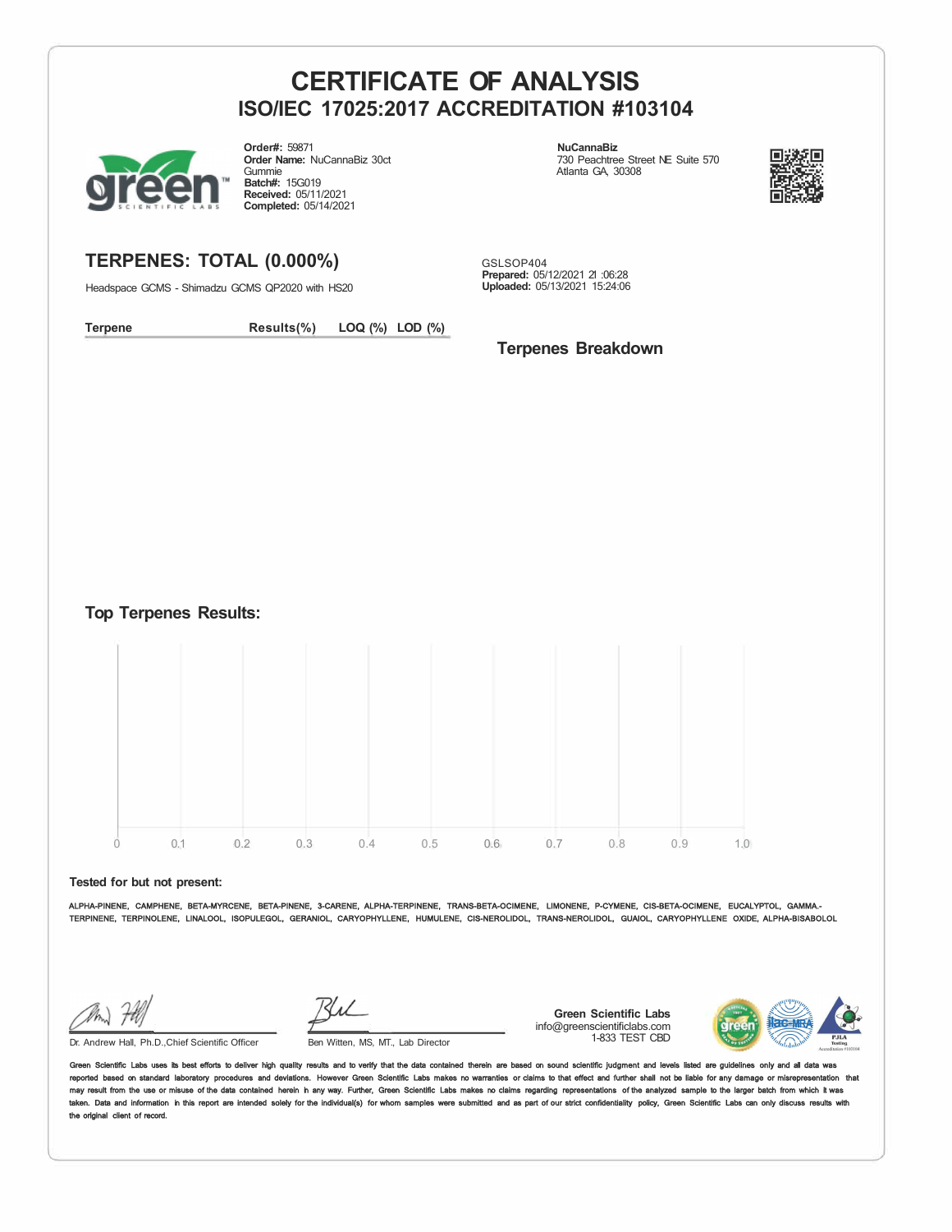

**Order#:** 59871 **Order Name:** NuCannaBiz 30ct Gummie **Batch#:** 15G019 **Received:** 05/11/2021 **Completed:** 05/14/2021

**NuCannaBiz**  730 Peachtree Street NE Suite 570 Atlanta GA, 30308



## **TERPENES: TOTAL (0.000%)**

Headspace GCMS - Shimadzu GCMS QP2020 with HS20

GSLSOP404 **Prepared:** 05/12/2021 21 :06:28 **Uploaded:** 05/13/2021 15:24:06

**Terpene Results(%) LOQ (%) LOD (%)** 

## **Terpenes Breakdown**

**Top Terpenes Results:** 



**Tested for but not present:** 

ALPHA-PINENE, CAMPHENE, BETA-MYRCENE, BETA-PINENE, 3-CARENE, ALPHA-TERPINENE, TRANS-BETA-OCIMENE, LIMONENE, P-CYMENE, CIS-BETA-OCIMENE, EUCALYPTOL, GAMMA.- TERPINENE, TERPINOLENE, LINALOOL, ISOPULEGOL, GERANIOL, CARYOPHYLLENE, HUMULENE, CIS-NEROLIDOL, TRANS-NEROLIDOL, GUAIOL, CARYOPHYLLENE OXIDE, ALPHA-BISABOLOL

Dr. Andrew Hall, Ph.D., Chief Scientific Officer Ben Witten, MS, MT., Lab Director

**Green Scientific Labs**  info@greenscientificlabs.com 1-833 TEST CBD



Green Scientific Labs uses its best efforts to deliver high quality results and to verify that the data contained therein are based on sound scientific judgment and levels listed are guidelines only reported based on standard laboratory procedures and deviations. However Green Scientific Labs makes no warranties or claims to that effect and further shall not be liable for any damage or misrepresentation that<br>may resul taken. Data and information in this report are intended solely for the individual(s) for whom samples were submitted and as part of our strict confidentiality policy, Green Scientific Labs can only discuss results with the original client of record.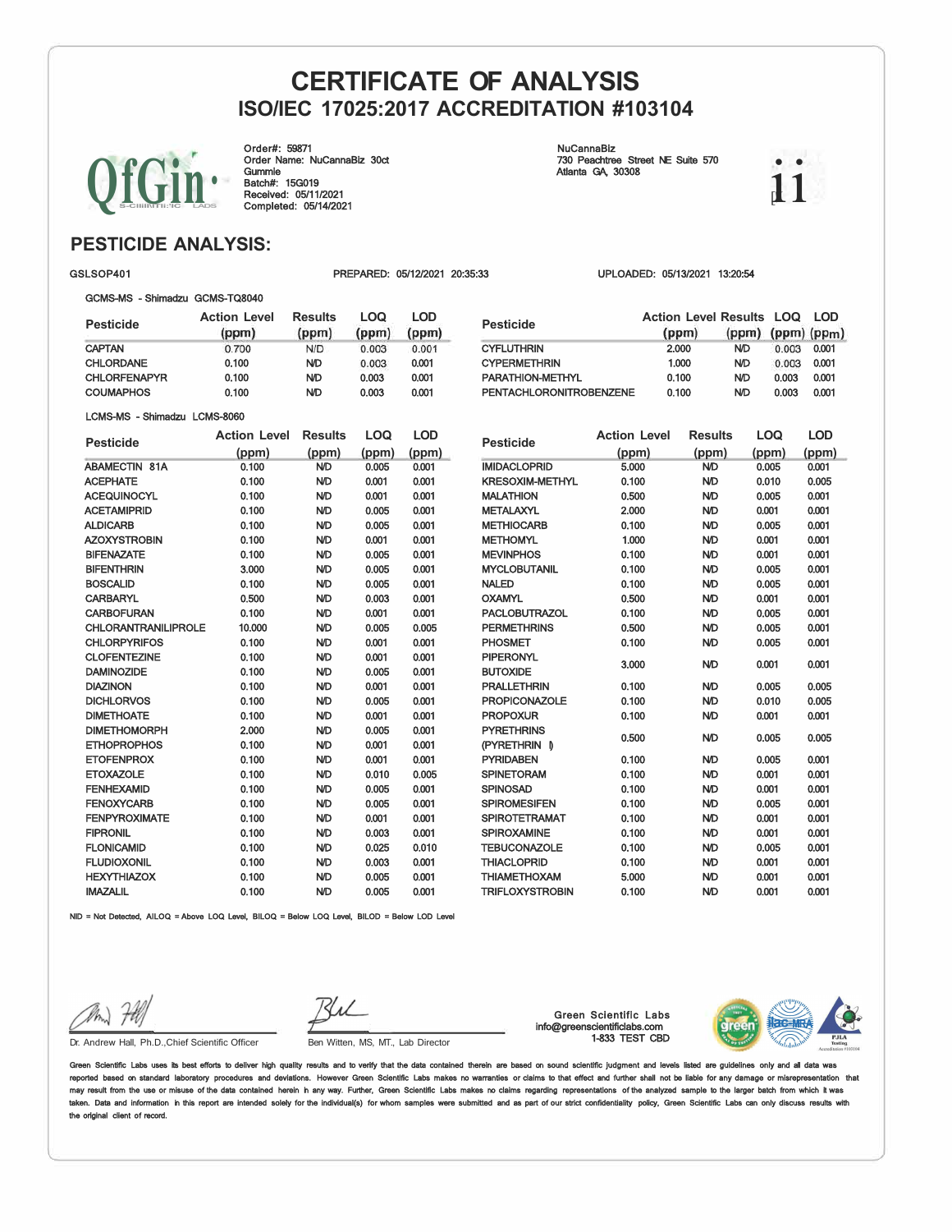Order#: 59871 Order Name: NuCannaBiz 30ct Gummie Batch#: 15G019 Received: 05/11/2021 Completed: 05/14/2021

#### NuCannaBiz 730 Peachtree Street NE Suite 570 Atlanta GA, 30308

 $\rm ii$ 

## **PESTICIDE ANALYSIS:**

#### GSLSOP401 PREPARED: 05/12/2021 20:35:33 UPLOADED: 05/13/2021 13:20:54

#### GCMS-MS - Shimadzu GCMS-TQ8040

| <b>Pesticide</b>     | <b>Action Level</b><br>(ppm) | <b>Results</b><br>(ppm) | LOQ<br>(ppm) | <b>LOD</b><br>(ppm) |
|----------------------|------------------------------|-------------------------|--------------|---------------------|
| <b>CAPTAN</b>        | 0.700                        | N/D                     | 0.003        | 0.001               |
| <b>CHLORDANE</b>     | 0.100                        | <b>ND</b>               | 0.003        | 0.001               |
| <b>CHLORFENAPYR</b>  | 0.100                        | <b>ND</b>               | 0.003        | 0.001               |
| <b>COUMAPHOS</b>     | 0.100                        | <b>ND</b>               | 0.003        | 0.001               |
| LCMS-MS - Shimadzu   | <b>LCMS-8060</b>             |                         |              |                     |
| <b>Pesticide</b>     | <b>Action Level</b>          | <b>Results</b>          | LOQ          | <b>LOD</b>          |
|                      | (ppm)                        | (ppm)                   | (ppm)        | (ppm)               |
| <b>ABAMECTIN 81A</b> | 0.100                        | ND                      | 0.005        | 0.001               |
| <b>ACEPHATE</b>      | 0.100                        | ND                      | 0.001        | 0.001               |
| <b>ACEQUINOCYL</b>   | 0.100                        | ND                      | 0.001        | 0.001               |
| <b>ACETAMIPRID</b>   | 0.100                        | ND                      | 0.005        | 0.001               |
| <b>ALDICARB</b>      | 0.100                        | <b>ND</b>               | 0.005        | 0.001               |
| <b>AZOXYSTROBIN</b>  | 0.100                        | ND                      | 0.001        | 0.001               |
| <b>BIFENAZATE</b>    | 0.100                        | ND                      | 0.005        | 0.001               |
| <b>BIFENTHRIN</b>    | 3.000                        | ND                      | 0.005        | 0.001               |
| <b>BOSCALID</b>      | 0.100                        | ND                      | 0.005        | 0.001               |

CARBARYL 0.500 N/D 0.003 0.001 CARBOFURAN 0.100 N/D 0.001 0.001 CHLORANTRANILIPROLE 10.000 ND 0.005 0.005<br>CHLORPYRIFOS 0.100 ND 0.001 0.001

CLOFENTEZINE 0.100 N/D 0.001 0.001 DAMINOZIDE 0.100 N/D 0.005 0.001 DIAZINON 0.100 N/D 0.001 0.001 DICHLORVOS 0.100 N/D 0.005 0.001 DIMETHOATE 0.100 N/D 0.001 0.001 DIMETHOMORPH 2.000 N/D 0.005 0.001 ETHOPROPHOS 0.100 N/D 0.001 0.001 ETOFENPROX 0.100 N/D 0.001 0.001 ETOXAZOLE 0.100 N/D 0.010 0.005 FENHEXAMID 0.100 N/D 0.005 0.001 FENOXYCARB 0.100 N/D 0.005 0.001 FENPYROXIMATE 0.100 N/D 0.001 0.001 FIPRONIL 0.100 N/D 0.003 0.001 FLONICAMID 0.100 N/D 0.025 0.010 FLUDIOXONIL 0.100 N/D 0.003 0.001 HEXYTHIAZOX 0.100 N/D 0.005 0.001

CHLORPYRIFOS 0.100 N/D

| Pesticide                      | <b>Action Level Results LOQ</b><br>(ppm) | $(ppm)$ (ppm) $(ppm)$ |       | LOD   |
|--------------------------------|------------------------------------------|-----------------------|-------|-------|
| CYFLUTHRIN                     | 2.000                                    | <b>ND</b>             | 0.003 | 0.001 |
| <b>CYPERMETHRIN</b>            | 1.000                                    | <b>ND</b>             | 0.003 | 0.001 |
| PARATHION-METHYL               | 0.100                                    | <b>ND</b>             | 0.003 | 0.001 |
| <b>PENTACHLORONITROBENZENE</b> | 0.100                                    | <b>ND</b>             | 0.003 | 0.001 |

| <b>Pesticide</b>       | <b>Action Level</b> | <b>Results</b> | <b>LOQ</b> | <b>LOD</b> |
|------------------------|---------------------|----------------|------------|------------|
|                        | (ppm)               | (ppm)          | (ppm)      | (ppm)      |
| <b>IMIDACLOPRID</b>    | 5.000               | <b>ND</b>      | 0.005      | 0.001      |
| <b>KRESOXIM-METHYL</b> | 0.100               | <b>ND</b>      | 0.010      | 0.005      |
| <b>MALATHION</b>       | 0.500               | <b>ND</b>      | 0.005      | 0.001      |
| <b>METALAXYL</b>       | 2.000               | <b>ND</b>      | 0.001      | 0.001      |
| <b>METHIOCARB</b>      | 0.100               | <b>ND</b>      | 0.005      | 0.001      |
| <b>METHOMYL</b>        | 1.000               | <b>ND</b>      | 0.001      | 0.001      |
| <b>MEVINPHOS</b>       | 0.100               | <b>ND</b>      | 0.001      | 0.001      |
| <b>MYCLOBUTANIL</b>    | 0.100               | <b>ND</b>      | 0.005      | 0.001      |
| <b>NALED</b>           | 0.100               | <b>ND</b>      | 0.005      | 0.001      |
| <b>OXAMYL</b>          | 0.500               | <b>ND</b>      | 0.001      | 0.001      |
| <b>PACLOBUTRAZOL</b>   | 0.100               | <b>ND</b>      | 0.005      | 0.001      |
| <b>PERMETHRINS</b>     | 0.500               | <b>ND</b>      | 0.005      | 0.001      |
| PHOSMET                | 0.100               | <b>ND</b>      | 0.005      | 0.001      |
| <b>PIPERONYL</b>       | 3.000               | <b>ND</b>      | 0.001      | 0.001      |
| <b>BUTOXIDE</b>        |                     |                |            |            |
| <b>PRALLETHRIN</b>     | 0.100               | <b>ND</b>      | 0.005      | 0.005      |
| <b>PROPICONAZOLE</b>   | 0.100               | <b>ND</b>      | 0.010      | 0.005      |
| <b>PROPOXUR</b>        | 0.100               | <b>ND</b>      | 0.001      | 0.001      |
| <b>PYRETHRINS</b>      | 0.500               | <b>ND</b>      | 0.005      | 0.005      |
| (PYRETHRIN<br>- D      |                     |                |            |            |
| <b>PYRIDABEN</b>       | 0.100               | <b>ND</b>      | 0.005      | 0.001      |
| <b>SPINETORAM</b>      | 0.100               | <b>ND</b>      | 0.001      | 0.001      |
| <b>SPINOSAD</b>        | 0.100               | <b>ND</b>      | 0.001      | 0.001      |
| <b>SPIROMESIFEN</b>    | 0.100               | <b>ND</b>      | 0.005      | 0.001      |
| SPIROTETRAMAT          | 0.100               | <b>ND</b>      | 0.001      | 0.001      |
| <b>SPIROXAMINE</b>     | 0.100               | <b>ND</b>      | 0.001      | 0.001      |
| TEBUCONAZOLE           | 0.100               | <b>ND</b>      | 0.005      | 0.001      |
| <b>THIACLOPRID</b>     | 0.100               | <b>ND</b>      | 0.001      | 0.001      |
| THIAMETHOXAM           | 5.000               | <b>ND</b>      | 0.001      | 0.001      |
| <b>TRIFLOXYSTROBIN</b> | 0.100               | <b>ND</b>      | 0.001      | 0.001      |

IMAZALIL 0.100 N/D 0.005 0.001 NID = Not Detected, AILOQ = Above LOQ Level, BILOQ = Below LOQ Level, BILOD = Below LOD Level

the original client of record.

Green Scientific Labs info@greenscientificlabs.com 1-833 TEST CBD



Dr. Andrew Hall, Ph.D.,Chief Scientific Officer Ben Witten, MS, MT., Lab Director

Green Scientific Labs uses its best efforts to deliver high quality results and to verify that the data contained therein are based on sound scientific judgment and levels listed are guidelines only and all d reported based on standard laboratory procedures and deviations. However Green Scientific Labs makes no warranties or claims to that effect and further shall not be liable for any damage or misrepresentation that<br>may resul taken. Data and information in this report are intended solely for the individual(s) for whom samples were submitted and as part of our strict confidentiality policy, Green Scientific Labs can only discuss results with



 $\bigcup_{i\in\mathbb{Z}}\bigl[\bigcup_{i\in\mathbb{Z}}\bigl]\bigl]$  .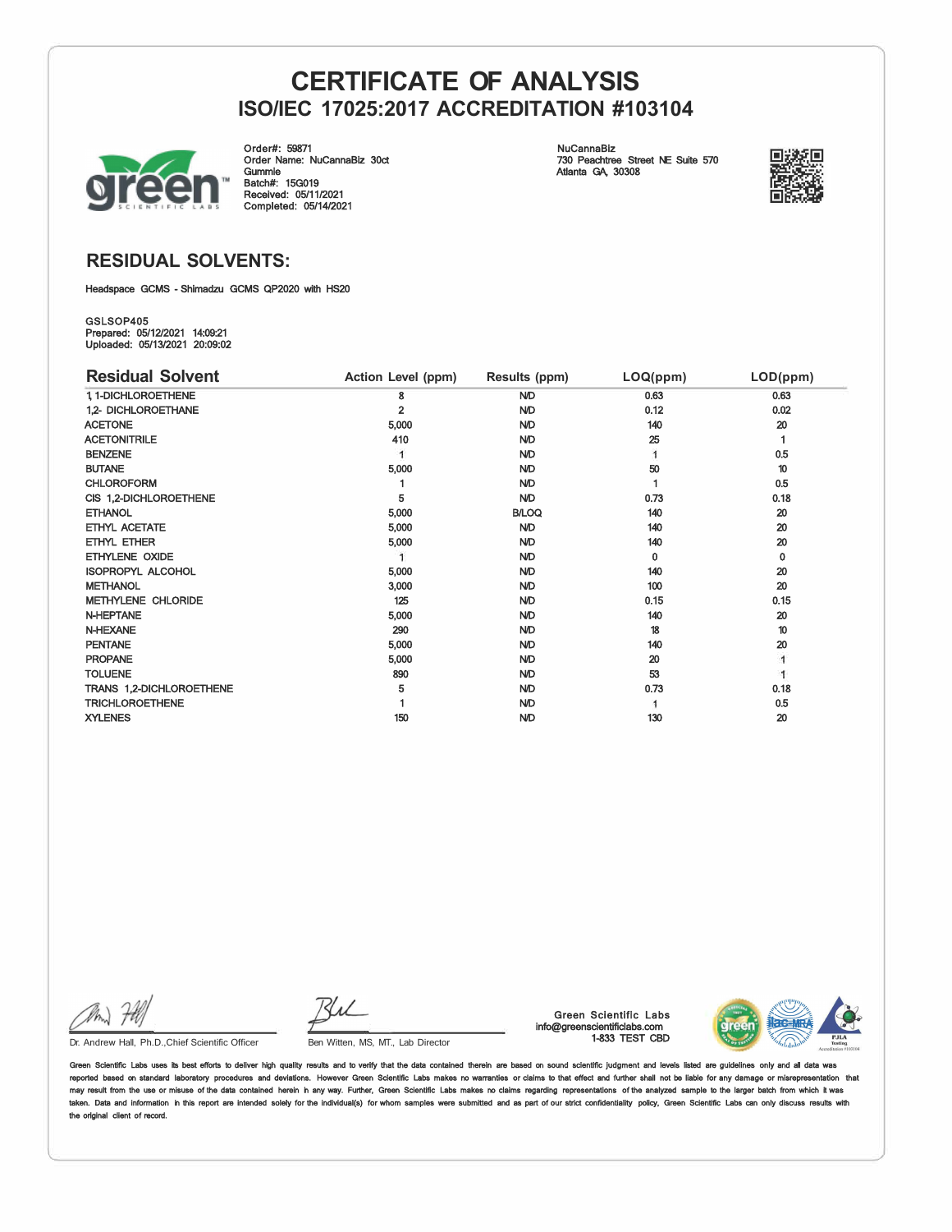

Order#: 59871 Order Name: NuCannaBiz 30ct Gummie Batch#: 15G019 Received: 05/11/2021 Completed: 05/14/2021

NuCannaBiz 730 Peachtree Street NE Suite 570 Atlanta GA, 30308



## **RESIDUAL SOLVENTS:**

Headspace GCMS - Shimadzu GCMS QP2020 with HS20

GSLSOP405 Prepared: 05/12/2021 14:09:21 Uploaded: 05/13/2021 20:09:02

| <b>Residual Solvent</b>   | Action Level (ppm) | Results (ppm) | LOQ(ppm) | LOD(ppm) |
|---------------------------|--------------------|---------------|----------|----------|
| 1, 1-DICHLOROETHENE       | 8                  | <b>ND</b>     | 0.63     | 0.63     |
| 1.2- DICHLOROETHANE       | $\overline{2}$     | <b>ND</b>     | 0.12     | 0.02     |
| <b>ACETONE</b>            | 5,000              | <b>ND</b>     | 140      | 20       |
| <b>ACETONITRILE</b>       | 410                | <b>ND</b>     | 25       |          |
| <b>BENZENE</b>            |                    | <b>ND</b>     |          | 0.5      |
| <b>BUTANE</b>             | 5,000              | <b>ND</b>     | 50       | 10       |
| <b>CHLOROFORM</b>         |                    | <b>N/D</b>    |          | 0.5      |
| CIS 1,2-DICHLOROETHENE    | 5                  | <b>ND</b>     | 0.73     | 0.18     |
| <b>ETHANOL</b>            | 5,000              | <b>B/LOQ</b>  | 140      | 20       |
| ETHYL ACETATE             | 5,000              | <b>ND</b>     | 140      | 20       |
| ETHYL ETHER               | 5,000              | <b>ND</b>     | 140      | 20       |
| ETHYLENE OXIDE            |                    | <b>ND</b>     | 0        | 0        |
| <b>ISOPROPYL ALCOHOL</b>  | 5,000              | <b>ND</b>     | 140      | 20       |
| <b>METHANOL</b>           | 3,000              | <b>ND</b>     | 100      | 20       |
| <b>METHYLENE CHLORIDE</b> | 125                | <b>ND</b>     | 0.15     | 0.15     |
| <b>N-HEPTANE</b>          | 5,000              | <b>ND</b>     | 140      | 20       |
| <b>N-HEXANE</b>           | 290                | <b>ND</b>     | 18       | 10       |
| <b>PENTANE</b>            | 5,000              | <b>ND</b>     | 140      | 20       |
| <b>PROPANE</b>            | 5,000              | <b>ND</b>     | 20       |          |
| <b>TOLUENE</b>            | 890                | <b>ND</b>     | 53       |          |
| TRANS 1,2-DICHLOROETHENE  | 5                  | <b>ND</b>     | 0.73     | 0.18     |
| <b>TRICHLOROETHENE</b>    |                    | <b>ND</b>     |          | 0.5      |
| <b>XYLENES</b>            | 150                | <b>ND</b>     | 130      | 20       |

Ru

Dr. Andrew Hall, Ph.D., Chief Scientific Officer Ben Witten, MS, MT., Lab Director

Green Scientific Labs info@greenscientificlabs.com 1-833 TEST CBD



Green Scientific Labs uses its best efforts to deliver high quality results and to verify that the data contained therein are based on sound scientific judgment and levels listed are guidelines only and all d reported based on standard laboratory procedures and deviations. However Green Scientific Labs makes no warranties or claims to that effect and further shall not be liable for any damage or misrepresentation that<br>may resul taken. Data and information in this report are intended solely for the individual(s) for whom samples were submitted and as part of our strict confidentiality policy, Green Scientific Labs can only discuss results with the original client of record.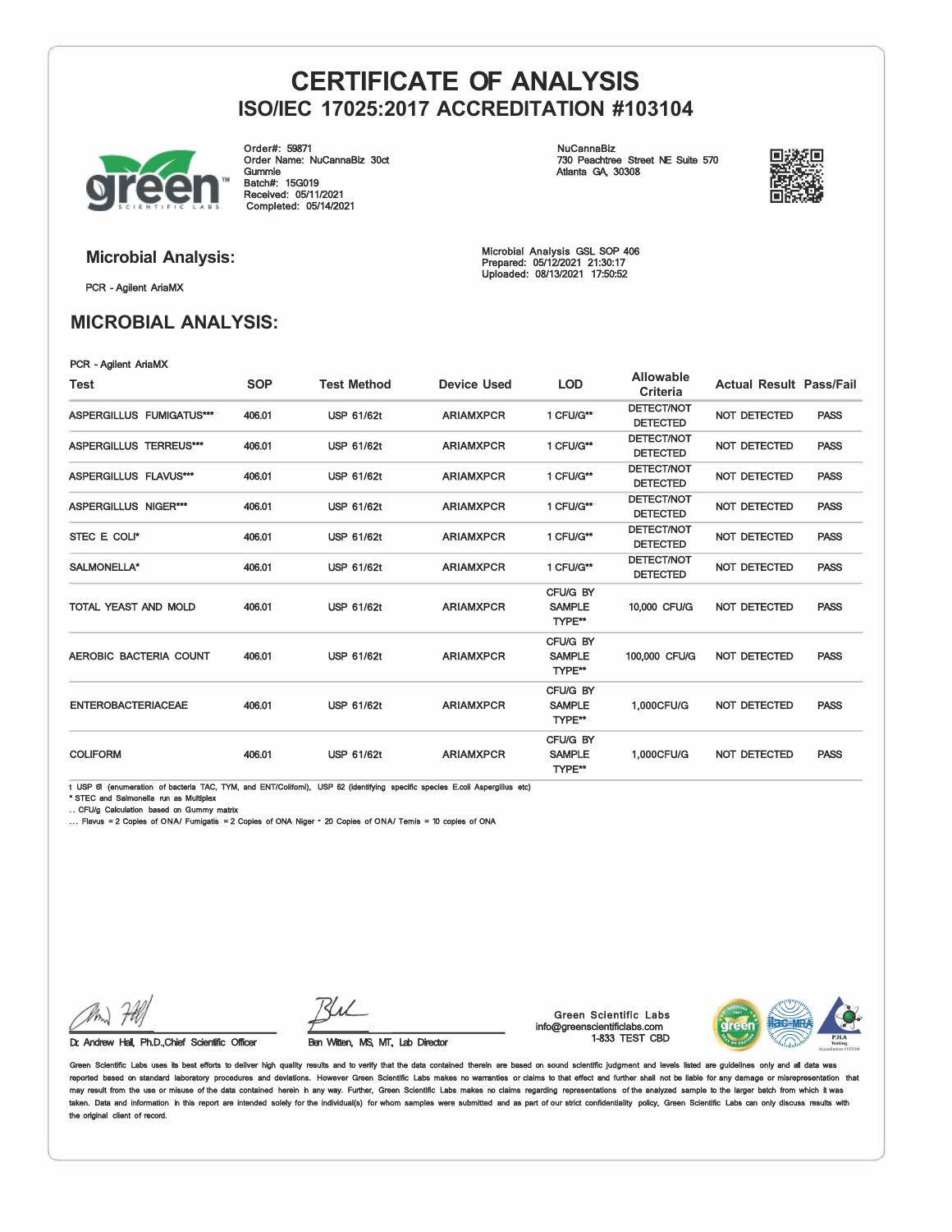

Order#: 59871 Order Name: NuCannaBiz 30ct Gummie Batch#: 15G019 Received: 05/11/2021 Completed: 05/14/2021

NuCannaBiz 730 Peachtree Street NE Suite 570 Atlanta GA, 30308



PCR - Agilent AriaMX

## **MICROBIAL ANALYSIS:**

**Microbial Analysis:** Microbial Analysis GSL SOP 406 Prepared: 05/12/2021 21:30:17 Uploaded: 08/13/2021 17:50:52

| PCR - Agilent AriaMX            |            |                    |                    |                                     |                                      |                                |             |
|---------------------------------|------------|--------------------|--------------------|-------------------------------------|--------------------------------------|--------------------------------|-------------|
| Test                            | <b>SOP</b> | <b>Test Method</b> | <b>Device Used</b> | <b>LOD</b>                          | Allowable<br>Criteria                | <b>Actual Result Pass/Fail</b> |             |
| <b>ASPERGILLUS FUMIGATUS***</b> | 406.01     | <b>USP 61/62t</b>  | <b>ARIAMXPCR</b>   | 1 CFU/G**                           | <b>DETECT/NOT</b><br><b>DETECTED</b> | <b>NOT DETECTED</b>            | <b>PASS</b> |
| <b>ASPERGILLUS TERREUS***</b>   | 406.01     | <b>USP 61/62t</b>  | <b>ARIAMXPCR</b>   | 1 CFU/G**                           | <b>DETECT/NOT</b><br><b>DETECTED</b> | <b>NOT DETECTED</b>            | <b>PASS</b> |
| <b>ASPERGILLUS FLAVUS***</b>    | 406.01     | <b>USP 61/62t</b>  | <b>ARIAMXPCR</b>   | 1 CFU/G**                           | <b>DETECT/NOT</b><br><b>DETECTED</b> | <b>NOT DETECTED</b>            | <b>PASS</b> |
| <b>ASPERGILLUS NIGER***</b>     | 406.01     | <b>USP 61/62t</b>  | <b>ARIAMXPCR</b>   | 1 CFU/G**                           | <b>DETECT/NOT</b><br><b>DETECTED</b> | <b>NOT DETECTED</b>            | <b>PASS</b> |
| STEC E COLI*                    | 406.01     | <b>USP 61/62t</b>  | <b>ARIAMXPCR</b>   | 1 CFU/G**                           | <b>DETECT/NOT</b><br><b>DETECTED</b> | <b>NOT DETECTED</b>            | <b>PASS</b> |
| SALMONELLA*                     | 406.01     | <b>USP 61/62t</b>  | <b>ARIAMXPCR</b>   | 1 CFU/G**                           | <b>DETECT/NOT</b><br><b>DETECTED</b> | <b>NOT DETECTED</b>            | <b>PASS</b> |
| TOTAL YEAST AND MOLD            | 406.01     | <b>USP 61/62t</b>  | <b>ARIAMXPCR</b>   | CFU/G BY<br><b>SAMPLE</b><br>TYPE** | 10,000 CFU/G                         | <b>NOT DETECTED</b>            | <b>PASS</b> |
| AEROBIC BACTERIA COUNT          | 406.01     | <b>USP 61/62t</b>  | <b>ARIAMXPCR</b>   | CFU/G BY<br><b>SAMPLE</b><br>TYPE** | 100,000 CFU/G                        | <b>NOT DETECTED</b>            | <b>PASS</b> |
| <b>ENTEROBACTERIACEAE</b>       | 406.01     | <b>USP 61/62t</b>  | <b>ARIAMXPCR</b>   | CFU/G BY<br><b>SAMPLE</b><br>TYPE** | 1,000CFU/G                           | <b>NOT DETECTED</b>            | <b>PASS</b> |
| <b>COLIFORM</b>                 | 406.01     | <b>USP 61/62t</b>  | <b>ARIAMXPCR</b>   | CFU/G BY<br><b>SAMPLE</b><br>TYPE** | 1,000CFU/G                           | <b>NOT DETECTED</b>            | <b>PASS</b> |

t USP 61 (enumeration of bacteria TAC, TYM, and ENT/Colifomi), USP 62 (identifying specific species E.coli Aspergilius etc)<br>\* STEC and Salmonella run as Multiplex<br>.. CFU/g Calculation based on Gummy matrix

... Flavus = 2 Copies of ONA/ Fumigatis = 2 Copies of ONA Niger = 20 Copies of ONA/ Temis = 10 copies of ONA

Dr. Andrew Hall, Ph.D.,Chief Scientific Officer Ben Witten, MS, MT, Lab Director

Green Scientific Labs info@greenscientificlabs.com 1-833 TEST CBD



Green Scientific Labs uses its best efforts to deliver high quality results and to verify that the data contained therein are based on sound scientific judgment and levels listed are guidelines only and all da reported based on standard laboratory procedures and deviations. However Green Scientific Labs makes no warranties or claims to that effect and further shall not be liable for any damage or misrepresentation that<br>may resul taken. Data and information in this report are intended solely for the individual(s) for whom samples were submitted and as part of our strict confidentiality policy, Green Scientific Labs can only discuss results with the original client of record.